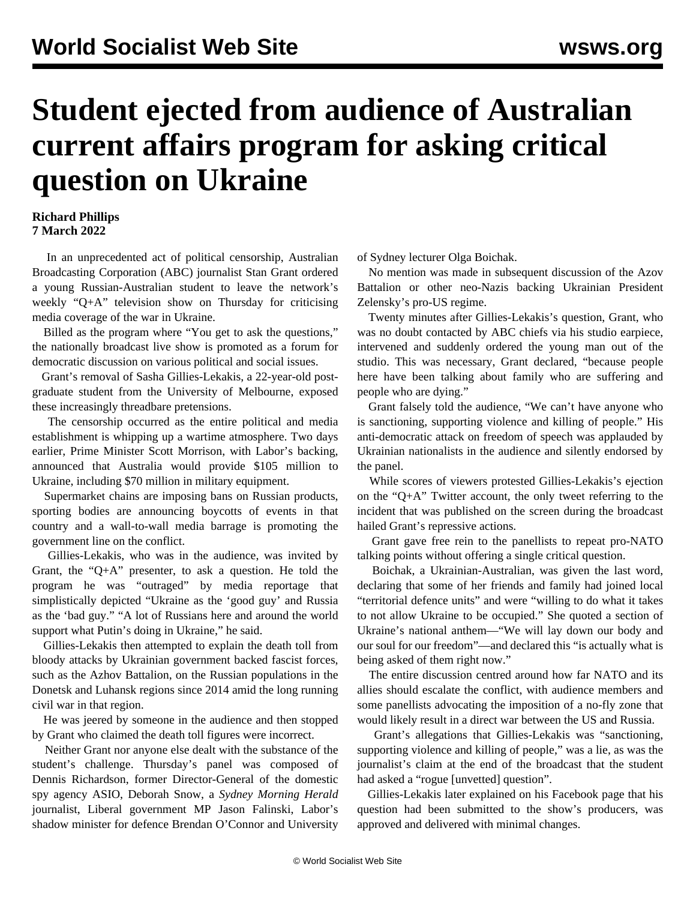## **Student ejected from audience of Australian current affairs program for asking critical question on Ukraine**

## **Richard Phillips 7 March 2022**

 In an unprecedented act of political censorship, Australian Broadcasting Corporation (ABC) journalist Stan Grant ordered a young Russian-Australian student to leave the network's weekly "Q+A" television show on Thursday for criticising media coverage of the war in Ukraine.

 Billed as the program where "You get to ask the questions," the nationally broadcast live show is promoted as a forum for democratic discussion on various political and social issues.

 Grant's removal of Sasha Gillies-Lekakis, a 22-year-old postgraduate student from the University of Melbourne, exposed these increasingly threadbare pretensions.

 The censorship occurred as the entire political and media establishment is whipping up a wartime atmosphere. Two days earlier, Prime Minister Scott Morrison, with Labor's backing, announced that Australia would provide \$105 million to Ukraine, including \$70 million in military equipment.

 Supermarket chains are imposing bans on Russian products, sporting bodies are announcing boycotts of events in that country and a wall-to-wall media barrage is promoting the government line on the conflict.

 Gillies-Lekakis, who was in the audience, was invited by Grant, the "Q+A" presenter, to ask a question. He told the program he was "outraged" by media reportage that simplistically depicted "Ukraine as the 'good guy' and Russia as the 'bad guy." "A lot of Russians here and around the world support what Putin's doing in Ukraine," he said.

 Gillies-Lekakis then attempted to explain the death toll from bloody attacks by Ukrainian government backed fascist forces, such as the Azhov Battalion, on the Russian populations in the Donetsk and Luhansk regions since 2014 amid the long running civil war in that region.

 He was jeered by someone in the audience and then stopped by Grant who claimed the death toll figures were incorrect.

 Neither Grant nor anyone else dealt with the substance of the student's challenge. Thursday's panel was composed of Dennis Richardson, former Director-General of the domestic spy agency ASIO, Deborah Snow, a *Sydney Morning Herald* journalist, Liberal government MP Jason Falinski, Labor's shadow minister for defence Brendan O'Connor and University of Sydney lecturer Olga Boichak.

 No mention was made in subsequent discussion of the Azov Battalion or other neo-Nazis backing Ukrainian President Zelensky's pro-US regime.

 Twenty minutes after Gillies-Lekakis's question, Grant, who was no doubt contacted by ABC chiefs via his studio earpiece, intervened and suddenly ordered the young man out of the studio. This was necessary, Grant declared, "because people here have been talking about family who are suffering and people who are dying."

 Grant falsely told the audience, "We can't have anyone who is sanctioning, supporting violence and killing of people." His anti-democratic attack on freedom of speech was applauded by Ukrainian nationalists in the audience and silently endorsed by the panel.

 While scores of viewers protested Gillies-Lekakis's ejection on the "Q+A" Twitter account, the only tweet referring to the incident that was published on the screen during the broadcast hailed Grant's repressive actions.

 Grant gave free rein to the panellists to repeat pro-NATO talking points without offering a single critical question.

 Boichak, a Ukrainian-Australian, was given the last word, declaring that some of her friends and family had joined local "territorial defence units" and were "willing to do what it takes to not allow Ukraine to be occupied." She quoted a section of Ukraine's national anthem—"We will lay down our body and our soul for our freedom"—and declared this "is actually what is being asked of them right now."

 The entire discussion centred around how far NATO and its allies should escalate the conflict, with audience members and some panellists advocating the imposition of a no-fly zone that would likely result in a direct war between the US and Russia.

 Grant's allegations that Gillies-Lekakis was "sanctioning, supporting violence and killing of people," was a lie, as was the journalist's claim at the end of the broadcast that the student had asked a "rogue [unvetted] question".

 Gillies-Lekakis later explained on his Facebook page that his question had been submitted to the show's producers, was approved and delivered with minimal changes.